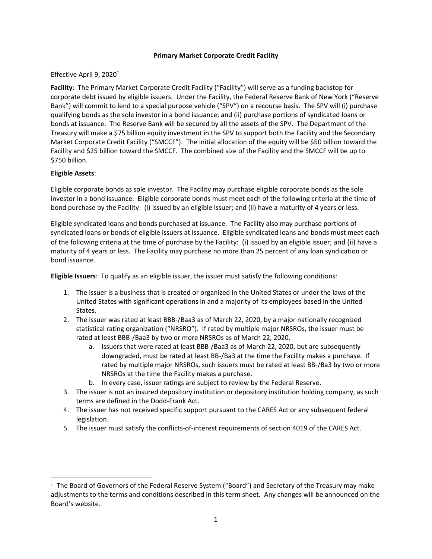## **Primary Market Corporate Credit Facility**

## Effective April 9, 2020<sup>1</sup>

**Facility**: The Primary Market Corporate Credit Facility ("Facility") will serve as a funding backstop for corporate debt issued by eligible issuers. Under the Facility, the Federal Reserve Bank of New York ("Reserve Bank") will commit to lend to a special purpose vehicle ("SPV") on a recourse basis. The SPV will (i) purchase qualifying bonds as the sole investor in a bond issuance; and (ii) purchase portions of syndicated loans or bonds at issuance. The Reserve Bank will be secured by all the assets of the SPV. The Department of the Treasury will make a \$75 billion equity investment in the SPV to support both the Facility and the Secondary Market Corporate Credit Facility ("SMCCF"). The initial allocation of the equity will be \$50 billion toward the Facility and \$25 billion toward the SMCCF. The combined size of the Facility and the SMCCF will be up to \$750 billion.

## **Eligible Assets**:

 $\overline{\phantom{a}}$ 

Eligible corporate bonds as sole investor. The Facility may purchase eligible corporate bonds as the sole investor in a bond issuance. Eligible corporate bonds must meet each of the following criteria at the time of bond purchase by the Facility: (i) issued by an eligible issuer; and (ii) have a maturity of 4 years or less.

Eligible syndicated loans and bonds purchased at issuance. The Facility also may purchase portions of syndicated loans or bonds of eligible issuers at issuance. Eligible syndicated loans and bonds must meet each of the following criteria at the time of purchase by the Facility: (i) issued by an eligible issuer; and (ii) have a maturity of 4 years or less. The Facility may purchase no more than 25 percent of any loan syndication or bond issuance.

**Eligible Issuers**: To qualify as an eligible issuer, the issuer must satisfy the following conditions:

- 1. The issuer is a business that is created or organized in the United States or under the laws of the United States with significant operations in and a majority of its employees based in the United States.
- 2. The issuer was rated at least BBB-/Baa3 as of March 22, 2020, by a major nationally recognized statistical rating organization ("NRSRO"). If rated by multiple major NRSROs, the issuer must be rated at least BBB-/Baa3 by two or more NRSROs as of March 22, 2020.
	- a. Issuers that were rated at least BBB-/Baa3 as of March 22, 2020, but are subsequently downgraded, must be rated at least BB-/Ba3 at the time the Facility makes a purchase. If rated by multiple major NRSROs, such issuers must be rated at least BB-/Ba3 by two or more NRSROs at the time the Facility makes a purchase.
	- b. In every case, issuer ratings are subject to review by the Federal Reserve.
- 3. The issuer is not an insured depository institution or depository institution holding company, as such terms are defined in the Dodd-Frank Act.
- 4. The issuer has not received specific support pursuant to the CARES Act or any subsequent federal legislation.
- 5. The issuer must satisfy the conflicts-of-interest requirements of section 4019 of the CARES Act.

<sup>&</sup>lt;sup>1</sup> The Board of Governors of the Federal Reserve System ("Board") and Secretary of the Treasury may make adjustments to the terms and conditions described in this term sheet. Any changes will be announced on the Board's website.